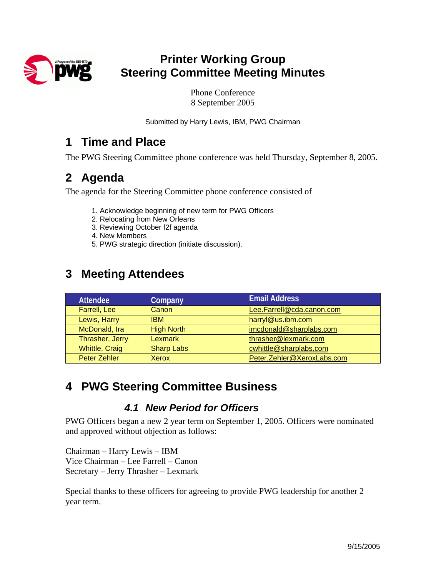

# **Printer Working Group Steering Committee Meeting Minutes**

Phone Conference 8 September 2005

Submitted by Harry Lewis, IBM, PWG Chairman

### **1 Time and Place**

The PWG Steering Committee phone conference was held Thursday, September 8, 2005.

# **2 Agenda**

The agenda for the Steering Committee phone conference consisted of

- 1. Acknowledge beginning of new term for PWG Officers
- 2. Relocating from New Orleans
- 3. Reviewing October f2f agenda
- 4. New Members
- 5. PWG strategic direction (initiate discussion).

# **3 Meeting Attendees**

| <b>Attendee</b>       | Company           | <b>Email Address</b>       |
|-----------------------|-------------------|----------------------------|
| Farrell, Lee          | Canon             | Lee.Farrell@cda.canon.com  |
| Lewis, Harry          | <b>IBM</b>        | harryl@us.ibm.com          |
| McDonald, Ira         | <b>High North</b> | imcdonald@sharplabs.com    |
| Thrasher, Jerry       | Lexmark           | thrasher@lexmark.com       |
| <b>Whittle, Craig</b> | <b>Sharp Labs</b> | cwhittle@sharplabs.com     |
| <b>Peter Zehler</b>   | <b>Xerox</b>      | Peter.Zehler@XeroxLabs.com |

# **4 PWG Steering Committee Business**

#### *4.1 New Period for Officers*

PWG Officers began a new 2 year term on September 1, 2005. Officers were nominated and approved without objection as follows:

Chairman – Harry Lewis – IBM Vice Chairman – Lee Farrell – Canon Secretary – Jerry Thrasher – Lexmark

Special thanks to these officers for agreeing to provide PWG leadership for another 2 year term.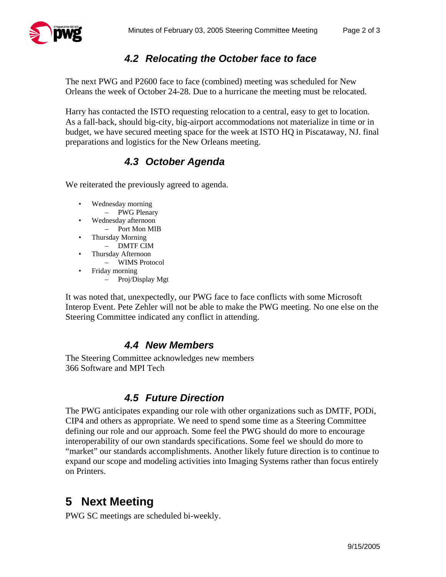

#### *4.2 Relocating the October face to face*

The next PWG and P2600 face to face (combined) meeting was scheduled for New Orleans the week of October 24-28. Due to a hurricane the meeting must be relocated.

Harry has contacted the ISTO requesting relocation to a central, easy to get to location. As a fall-back, should big-city, big-airport accommodations not materialize in time or in budget, we have secured meeting space for the week at ISTO HQ in Piscataway, NJ. final preparations and logistics for the New Orleans meeting.

#### *4.3 October Agenda*

We reiterated the previously agreed to agenda.

- Wednesday morning
	- PWG Plenary
- Wednesday afternoon
	- Port Mon MIB
- Thursday Morning
	- DMTF CIM
- Thursday Afternoon – WIMS Protocol
- Friday morning
	- Proj/Display Mgt

It was noted that, unexpectedly, our PWG face to face conflicts with some Microsoft Interop Event. Pete Zehler will not be able to make the PWG meeting. No one else on the Steering Committee indicated any conflict in attending.

#### *4.4 New Members*

The Steering Committee acknowledges new members 366 Software and MPI Tech

#### *4.5 Future Direction*

The PWG anticipates expanding our role with other organizations such as DMTF, PODi, CIP4 and others as appropriate. We need to spend some time as a Steering Committee defining our role and our approach. Some feel the PWG should do more to encourage interoperability of our own standards specifications. Some feel we should do more to "market" our standards accomplishments. Another likely future direction is to continue to expand our scope and modeling activities into Imaging Systems rather than focus entirely on Printers.

# **5 Next Meeting**

PWG SC meetings are scheduled bi-weekly.